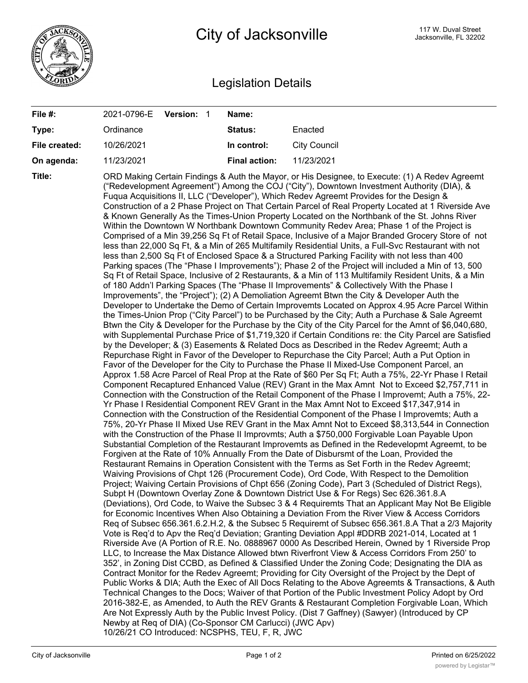

## Legislation Details

| File #:       | Version: 1<br>2021-0796-E                                                                                                                                                                                    | Name:                |                                                                                                                                                                                                                                                                                                                                                                                                                                                                                                                                                                                                                                                                                                                                                                                                                                                                                                                                                                                                                                                                                                                                                                                                                                                                                                                                                                                                                                                                                                                                                                                                                                                                                                                                                                                                                                                                                                                                                                                                                                                                                                                                                                                                                                                                                                                                                                                                                                                                                                                                                                                                                                                                                                                                                                                                                                                                                                                                                                                                                                                                                                                                                                                                                                                                                                                                                                                                                                                                                                                                                                                                                                                                                                                                                                                                                                                                                                                                                                                                                                                                                                                                                                                                                                                                                                                                                                                                                                                                                                                |  |
|---------------|--------------------------------------------------------------------------------------------------------------------------------------------------------------------------------------------------------------|----------------------|----------------------------------------------------------------------------------------------------------------------------------------------------------------------------------------------------------------------------------------------------------------------------------------------------------------------------------------------------------------------------------------------------------------------------------------------------------------------------------------------------------------------------------------------------------------------------------------------------------------------------------------------------------------------------------------------------------------------------------------------------------------------------------------------------------------------------------------------------------------------------------------------------------------------------------------------------------------------------------------------------------------------------------------------------------------------------------------------------------------------------------------------------------------------------------------------------------------------------------------------------------------------------------------------------------------------------------------------------------------------------------------------------------------------------------------------------------------------------------------------------------------------------------------------------------------------------------------------------------------------------------------------------------------------------------------------------------------------------------------------------------------------------------------------------------------------------------------------------------------------------------------------------------------------------------------------------------------------------------------------------------------------------------------------------------------------------------------------------------------------------------------------------------------------------------------------------------------------------------------------------------------------------------------------------------------------------------------------------------------------------------------------------------------------------------------------------------------------------------------------------------------------------------------------------------------------------------------------------------------------------------------------------------------------------------------------------------------------------------------------------------------------------------------------------------------------------------------------------------------------------------------------------------------------------------------------------------------------------------------------------------------------------------------------------------------------------------------------------------------------------------------------------------------------------------------------------------------------------------------------------------------------------------------------------------------------------------------------------------------------------------------------------------------------------------------------------------------------------------------------------------------------------------------------------------------------------------------------------------------------------------------------------------------------------------------------------------------------------------------------------------------------------------------------------------------------------------------------------------------------------------------------------------------------------------------------------------------------------------------------------------------------------------------------------------------------------------------------------------------------------------------------------------------------------------------------------------------------------------------------------------------------------------------------------------------------------------------------------------------------------------------------------------------------------------------------------------------------------------------------------------------|--|
| Type:         | Ordinance                                                                                                                                                                                                    | Status:              | Enacted                                                                                                                                                                                                                                                                                                                                                                                                                                                                                                                                                                                                                                                                                                                                                                                                                                                                                                                                                                                                                                                                                                                                                                                                                                                                                                                                                                                                                                                                                                                                                                                                                                                                                                                                                                                                                                                                                                                                                                                                                                                                                                                                                                                                                                                                                                                                                                                                                                                                                                                                                                                                                                                                                                                                                                                                                                                                                                                                                                                                                                                                                                                                                                                                                                                                                                                                                                                                                                                                                                                                                                                                                                                                                                                                                                                                                                                                                                                                                                                                                                                                                                                                                                                                                                                                                                                                                                                                                                                                                                        |  |
| File created: | 10/26/2021                                                                                                                                                                                                   | In control:          | <b>City Council</b>                                                                                                                                                                                                                                                                                                                                                                                                                                                                                                                                                                                                                                                                                                                                                                                                                                                                                                                                                                                                                                                                                                                                                                                                                                                                                                                                                                                                                                                                                                                                                                                                                                                                                                                                                                                                                                                                                                                                                                                                                                                                                                                                                                                                                                                                                                                                                                                                                                                                                                                                                                                                                                                                                                                                                                                                                                                                                                                                                                                                                                                                                                                                                                                                                                                                                                                                                                                                                                                                                                                                                                                                                                                                                                                                                                                                                                                                                                                                                                                                                                                                                                                                                                                                                                                                                                                                                                                                                                                                                            |  |
| On agenda:    | 11/23/2021                                                                                                                                                                                                   | <b>Final action:</b> | 11/23/2021                                                                                                                                                                                                                                                                                                                                                                                                                                                                                                                                                                                                                                                                                                                                                                                                                                                                                                                                                                                                                                                                                                                                                                                                                                                                                                                                                                                                                                                                                                                                                                                                                                                                                                                                                                                                                                                                                                                                                                                                                                                                                                                                                                                                                                                                                                                                                                                                                                                                                                                                                                                                                                                                                                                                                                                                                                                                                                                                                                                                                                                                                                                                                                                                                                                                                                                                                                                                                                                                                                                                                                                                                                                                                                                                                                                                                                                                                                                                                                                                                                                                                                                                                                                                                                                                                                                                                                                                                                                                                                     |  |
| Title:        | Are Not Expressly Auth by the Public Invest Policy. (Dist 7 Gaffney) (Sawyer) (Introduced by CP<br>Newby at Req of DIA) (Co-Sponsor CM Carlucci) (JWC Apv)<br>10/26/21 CO Introduced: NCSPHS, TEU, F, R, JWC |                      | ORD Making Certain Findings & Auth the Mayor, or His Designee, to Execute: (1) A Redev Agreemt<br>("Redevelopment Agreement") Among the COJ ("City"), Downtown Investment Authority (DIA), &<br>Fuqua Acquisitions II, LLC ("Developer"), Which Redev Agreemt Provides for the Design &<br>Construction of a 2 Phase Project on That Certain Parcel of Real Property Located at 1 Riverside Ave<br>& Known Generally As the Times-Union Property Located on the Northbank of the St. Johns River<br>Within the Downtown W Northbank Downtown Community Redev Area; Phase 1 of the Project is<br>Comprised of a Min 39,256 Sq Ft of Retail Space, Inclusive of a Major Branded Grocery Store of not<br>less than 22,000 Sq Ft, & a Min of 265 Multifamily Residential Units, a Full-Svc Restaurant with not<br>less than 2,500 Sq Ft of Enclosed Space & a Structured Parking Facility with not less than 400<br>Parking spaces (The "Phase I Improvements"); Phase 2 of the Project will included a Min of 13, 500<br>Sq Ft of Retail Space, Inclusive of 2 Restaurants, & a Min of 113 Multifamily Resident Units, & a Min<br>of 180 Addn'l Parking Spaces (The "Phase II Improvements" & Collectively With the Phase I<br>Improvements", the "Project"); (2) A Demoliation Agreemt Btwn the City & Developer Auth the<br>Developer to Undertake the Demo of Certain Improvemts Located on Approx 4.95 Acre Parcel Within<br>the Times-Union Prop ("City Parcel") to be Purchased by the City; Auth a Purchase & Sale Agreemt<br>Btwn the City & Developer for the Purchase by the City of the City Parcel for the Amnt of \$6,040,680,<br>with Supplemental Purchase Price of \$1,719,320 if Certain Conditions re: the City Parcel are Satisfied<br>by the Developer; & (3) Easements & Related Docs as Described in the Redev Agreemt; Auth a<br>Repurchase Right in Favor of the Developer to Repurchase the City Parcel; Auth a Put Option in<br>Favor of the Developer for the City to Purchase the Phase II Mixed-Use Component Parcel, an<br>Approx 1.58 Acre Parcel of Real Prop at the Rate of \$60 Per Sq Ft; Auth a 75%, 22-Yr Phase I Retail<br>Component Recaptured Enhanced Value (REV) Grant in the Max Amnt Not to Exceed \$2,757,711 in<br>Connection with the Construction of the Retail Component of the Phase I Improvemt; Auth a 75%, 22-<br>Yr Phase I Residential Component REV Grant in the Max Amnt Not to Exceed \$17,347,914 in<br>Connection with the Construction of the Residential Component of the Phase I Improvemts; Auth a<br>75%, 20-Yr Phase II Mixed Use REV Grant in the Max Amnt Not to Exceed \$8,313,544 in Connection<br>with the Construction of the Phase II Improvmts; Auth a \$750,000 Forgivable Loan Payable Upon<br>Substantial Completion of the Restaurant Improvemts as Defined in the Redevelopmt Agreemt, to be<br>Forgiven at the Rate of 10% Annually From the Date of Disbursmt of the Loan, Provided the<br>Restaurant Remains in Operation Consistent with the Terms as Set Forth in the Redev Agreemt;<br>Waiving Provisions of Chpt 126 (Procurement Code), Ord Code, With Respect to the Demolition<br>Project; Waiving Certain Provisions of Chpt 656 (Zoning Code), Part 3 (Scheduled of District Regs),<br>Subpt H (Downtown Overlay Zone & Downtown District Use & For Regs) Sec 626.361.8.A<br>(Deviations), Ord Code, to Waive the Subsec 3 & 4 Requiremts That an Applicant May Not Be Eligible<br>for Economic Incentives When Also Obtaining a Deviation From the River View & Access Corridors<br>Req of Subsec 656.361.6.2.H.2, & the Subsec 5 Requiremt of Subsec 656.361.8.A That a 2/3 Majority<br>Vote is Req'd to Apv the Req'd Deviation; Granting Deviation Appl #DDRB 2021-014, Located at 1<br>Riverside Ave (A Portion of R.E. No. 0888967 0000 As Described Herein, Owned by 1 Riverside Prop<br>LLC, to Increase the Max Distance Allowed btwn Riverfront View & Access Corridors From 250' to<br>352', in Zoning Dist CCBD, as Defined & Classified Under the Zoning Code; Designating the DIA as<br>Contract Monitor for the Redev Agreemt; Providing for City Oversight of the Project by the Dept of<br>Public Works & DIA; Auth the Exec of All Docs Relating to the Above Agreemts & Transactions, & Auth<br>Technical Changes to the Docs; Waiver of that Portion of the Public Investment Policy Adopt by Ord<br>2016-382-E, as Amended, to Auth the REV Grants & Restaurant Completion Forgivable Loan, Which |  |